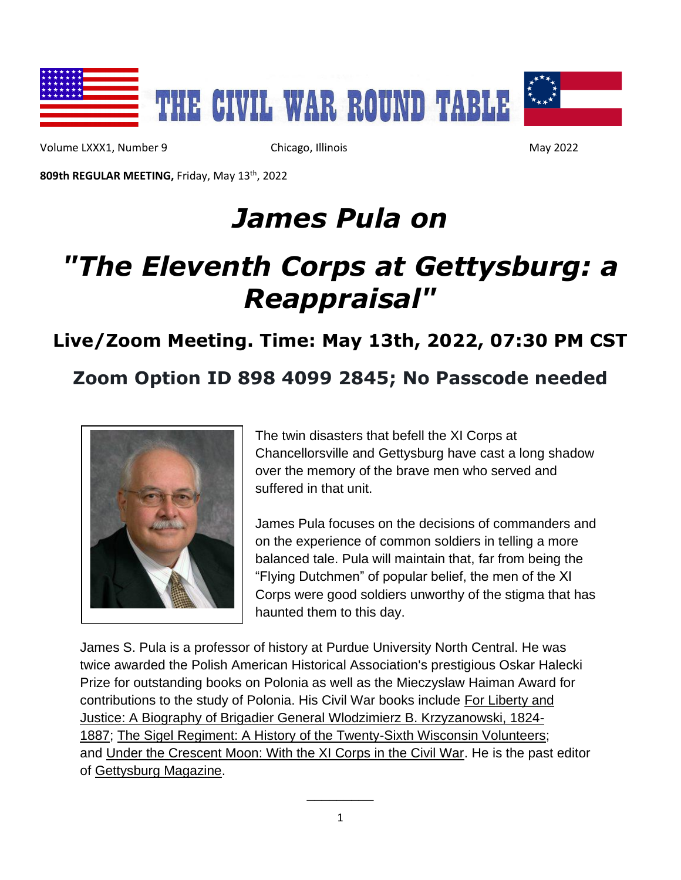

Volume LXXX1, Number 9 Chicago, Illinois May 2022

**809th REGULAR MEETING,** Friday, May 13th, 2022

# *James Pula on*

# *"The Eleventh Corps at Gettysburg: a Reappraisal"*

### **Live/Zoom Meeting. Time: May 13th, 2022, 07:30 PM CST**

#### **Zoom Option ID 898 4099 2845; No Passcode needed**



The twin disasters that befell the XI Corps at Chancellorsville and Gettysburg have cast a long shadow over the memory of the brave men who served and suffered in that unit.

James Pula focuses on the decisions of commanders and on the experience of common soldiers in telling a more balanced tale. Pula will maintain that, far from being the "Flying Dutchmen" of popular belief, the men of the XI Corps were good soldiers unworthy of the stigma that has haunted them to this day.

James S. Pula is a professor of history at Purdue University North Central. He was twice awarded the Polish American Historical Association's prestigious Oskar Halecki Prize for outstanding books on Polonia as well as the Mieczyslaw Haiman Award for contributions to the study of Polonia. His Civil War books include For Liberty and Justice: A Biography of Brigadier General Wlodzimierz B. Krzyzanowski, 1824- 1887; The Sigel Regiment: A History of the Twenty-Sixth Wisconsin Volunteers; and Under the Crescent Moon: With the XI Corps in the Civil War. He is the past editor of Gettysburg Magazine.

**\_\_\_\_\_\_\_\_\_**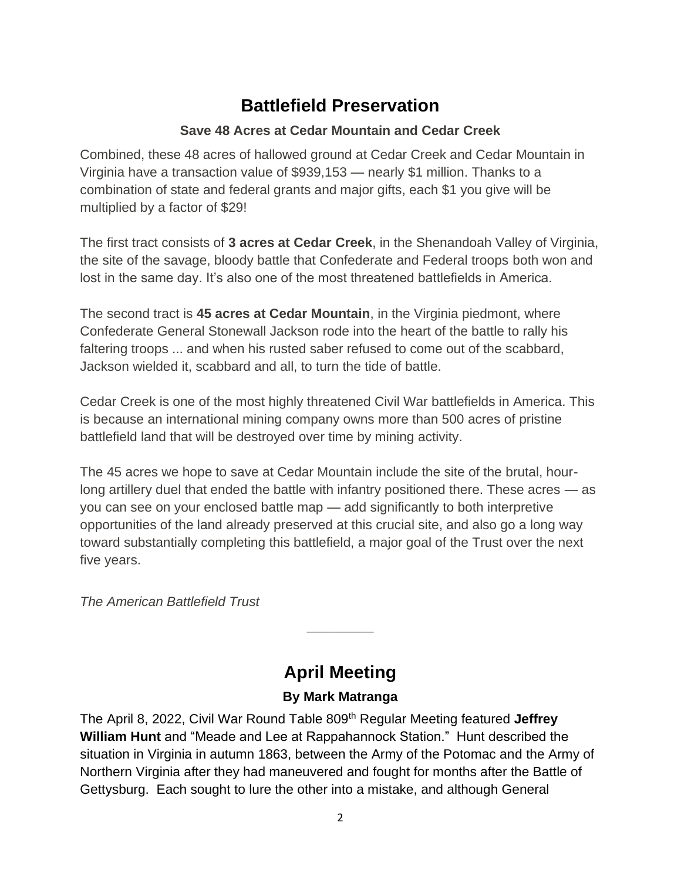## **Battlefield Preservation**

#### **Save 48 Acres at Cedar Mountain and Cedar Creek**

Combined, these 48 acres of hallowed ground at Cedar Creek and Cedar Mountain in Virginia have a transaction value of \$939,153 — nearly \$1 million. Thanks to a combination of state and federal grants and major gifts, each \$1 you give will be multiplied by a factor of \$29!

The first tract consists of **3 acres at Cedar Creek**, in the Shenandoah Valley of Virginia, the site of the savage, bloody battle that Confederate and Federal troops both won and lost in the same day. It's also one of the most threatened battlefields in America.

The second tract is **45 acres at Cedar Mountain**, in the Virginia piedmont, where Confederate General Stonewall Jackson rode into the heart of the battle to rally his faltering troops ... and when his rusted saber refused to come out of the scabbard, Jackson wielded it, scabbard and all, to turn the tide of battle.

Cedar Creek is one of the most highly threatened Civil War battlefields in America. This is because an international mining company owns more than 500 acres of pristine battlefield land that will be destroyed over time by mining activity.

The 45 acres we hope to save at Cedar Mountain include the site of the brutal, hourlong artillery duel that ended the battle with infantry positioned there. These acres — as you can see on your enclosed battle map — add significantly to both interpretive opportunities of the land already preserved at this crucial site, and also go a long way toward substantially completing this battlefield, a major goal of the Trust over the next five years.

*The American Battlefield Trust*

### **April Meeting**

**\_\_\_\_\_\_\_\_\_**

#### **By Mark Matranga**

The April 8, 2022, Civil War Round Table 809th Regular Meeting featured **Jeffrey William Hunt** and "Meade and Lee at Rappahannock Station." Hunt described the situation in Virginia in autumn 1863, between the Army of the Potomac and the Army of Northern Virginia after they had maneuvered and fought for months after the Battle of Gettysburg. Each sought to lure the other into a mistake, and although General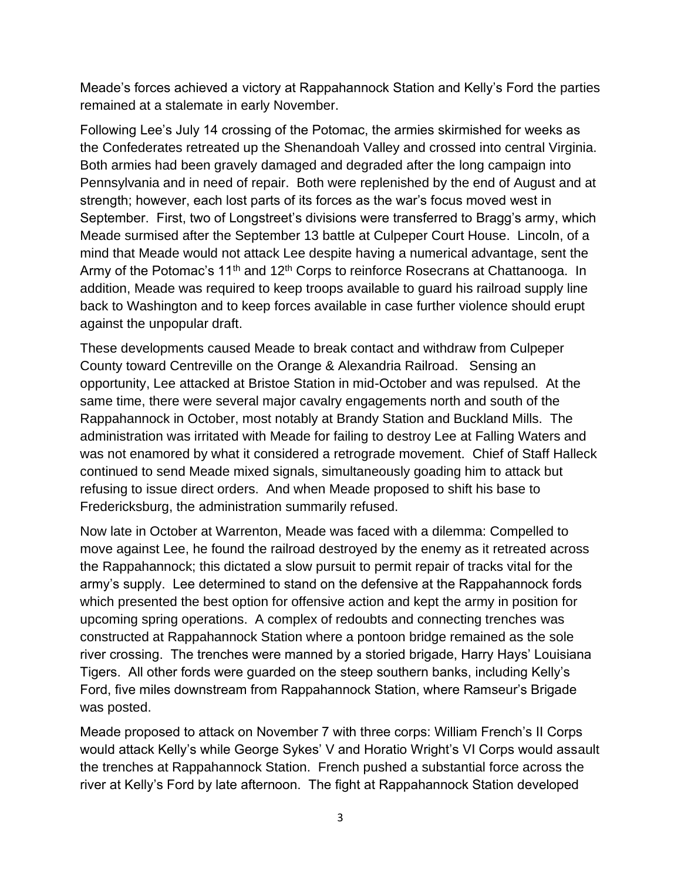Meade's forces achieved a victory at Rappahannock Station and Kelly's Ford the parties remained at a stalemate in early November.

Following Lee's July 14 crossing of the Potomac, the armies skirmished for weeks as the Confederates retreated up the Shenandoah Valley and crossed into central Virginia. Both armies had been gravely damaged and degraded after the long campaign into Pennsylvania and in need of repair. Both were replenished by the end of August and at strength; however, each lost parts of its forces as the war's focus moved west in September. First, two of Longstreet's divisions were transferred to Bragg's army, which Meade surmised after the September 13 battle at Culpeper Court House. Lincoln, of a mind that Meade would not attack Lee despite having a numerical advantage, sent the Army of the Potomac's  $11<sup>th</sup>$  and  $12<sup>th</sup>$  Corps to reinforce Rosecrans at Chattanooga. In addition, Meade was required to keep troops available to guard his railroad supply line back to Washington and to keep forces available in case further violence should erupt against the unpopular draft.

These developments caused Meade to break contact and withdraw from Culpeper County toward Centreville on the Orange & Alexandria Railroad. Sensing an opportunity, Lee attacked at Bristoe Station in mid-October and was repulsed. At the same time, there were several major cavalry engagements north and south of the Rappahannock in October, most notably at Brandy Station and Buckland Mills. The administration was irritated with Meade for failing to destroy Lee at Falling Waters and was not enamored by what it considered a retrograde movement. Chief of Staff Halleck continued to send Meade mixed signals, simultaneously goading him to attack but refusing to issue direct orders. And when Meade proposed to shift his base to Fredericksburg, the administration summarily refused.

Now late in October at Warrenton, Meade was faced with a dilemma: Compelled to move against Lee, he found the railroad destroyed by the enemy as it retreated across the Rappahannock; this dictated a slow pursuit to permit repair of tracks vital for the army's supply. Lee determined to stand on the defensive at the Rappahannock fords which presented the best option for offensive action and kept the army in position for upcoming spring operations. A complex of redoubts and connecting trenches was constructed at Rappahannock Station where a pontoon bridge remained as the sole river crossing. The trenches were manned by a storied brigade, Harry Hays' Louisiana Tigers. All other fords were guarded on the steep southern banks, including Kelly's Ford, five miles downstream from Rappahannock Station, where Ramseur's Brigade was posted.

Meade proposed to attack on November 7 with three corps: William French's II Corps would attack Kelly's while George Sykes' V and Horatio Wright's VI Corps would assault the trenches at Rappahannock Station. French pushed a substantial force across the river at Kelly's Ford by late afternoon. The fight at Rappahannock Station developed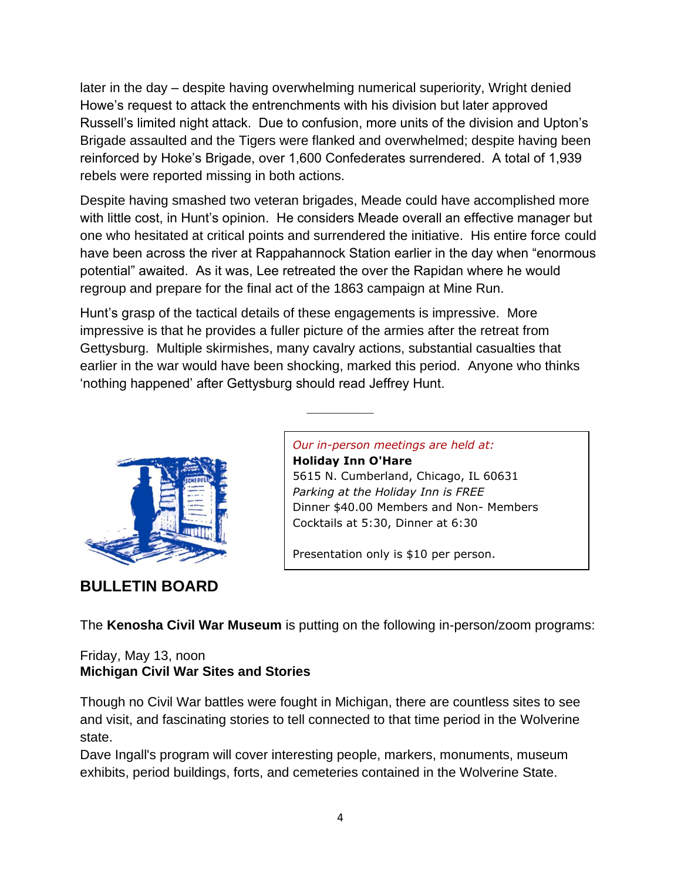later in the day – despite having overwhelming numerical superiority, Wright denied Howe's request to attack the entrenchments with his division but later approved Russell's limited night attack. Due to confusion, more units of the division and Upton's Brigade assaulted and the Tigers were flanked and overwhelmed; despite having been reinforced by Hoke's Brigade, over 1,600 Confederates surrendered. A total of 1,939 rebels were reported missing in both actions.

Despite having smashed two veteran brigades, Meade could have accomplished more with little cost, in Hunt's opinion. He considers Meade overall an effective manager but one who hesitated at critical points and surrendered the initiative. His entire force could have been across the river at Rappahannock Station earlier in the day when "enormous potential" awaited. As it was, Lee retreated the over the Rapidan where he would regroup and prepare for the final act of the 1863 campaign at Mine Run.

Hunt's grasp of the tactical details of these engagements is impressive. More impressive is that he provides a fuller picture of the armies after the retreat from Gettysburg. Multiple skirmishes, many cavalry actions, substantial casualties that earlier in the war would have been shocking, marked this period. Anyone who thinks 'nothing happened' after Gettysburg should read Jeffrey Hunt.

**\_\_\_\_\_\_\_\_\_**



**BULLETIN BOARD**

*Our in-person meetings are held at:* **Holiday Inn O'Hare**

5615 N. Cumberland, Chicago, IL 60631 *Parking at the Holiday Inn is FREE* Dinner \$40.00 Members and Non- Members Cocktails at 5:30, Dinner at 6:30

Presentation only is \$10 per person.

The **Kenosha Civil War Museum** is putting on the following in-person/zoom programs:

#### Friday, May 13, noon **Michigan Civil War Sites and Stories**

Though no Civil War battles were fought in Michigan, there are countless sites to see and visit, and fascinating stories to tell connected to that time period in the Wolverine state.

Dave Ingall's program will cover interesting people, markers, monuments, museum exhibits, period buildings, forts, and cemeteries contained in the Wolverine State.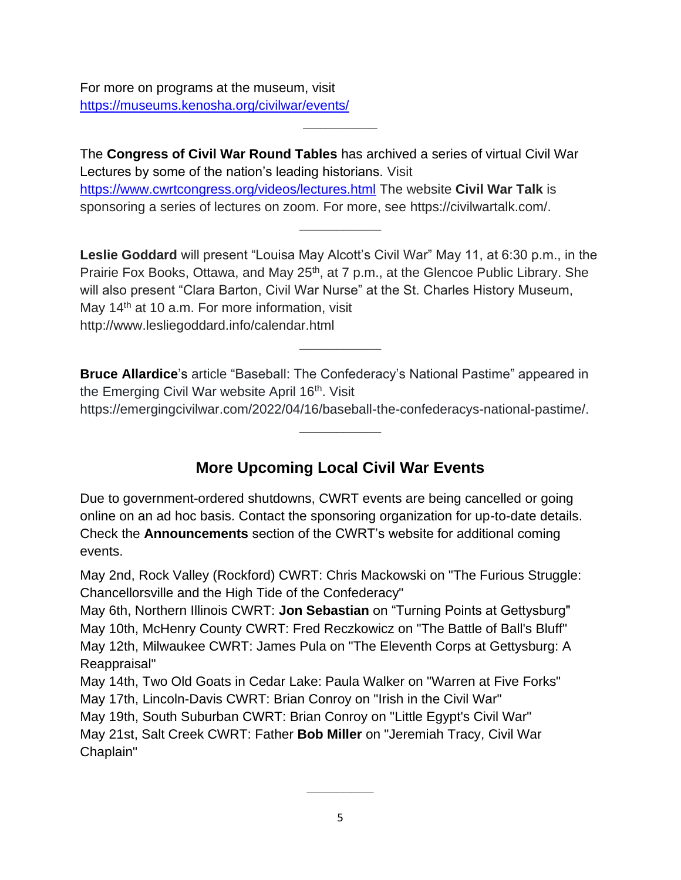For more on programs at the museum, visit <https://museums.kenosha.org/civilwar/events/>

The **Congress of Civil War Round Tables** has archived a series of virtual Civil War Lectures by some of the nation's leading historians. Visit <https://www.cwrtcongress.org/videos/lectures.html> The website **Civil War Talk** is sponsoring a series of lectures on zoom. For more, see https://civilwartalk.com/.

**\_\_\_\_\_\_\_\_\_\_**

**Leslie Goddard** will present "Louisa May Alcott's Civil War" May 11, at 6:30 p.m., in the Prairie Fox Books, Ottawa, and May 25<sup>th</sup>, at 7 p.m., at the Glencoe Public Library. She will also present "Clara Barton, Civil War Nurse" at the St. Charles History Museum, May  $14<sup>th</sup>$  at 10 a.m. For more information, visit http://www.lesliegoddard.info/calendar.html

**\_\_\_\_\_\_\_\_\_\_\_**

**\_\_\_\_\_\_\_\_\_\_\_**

**Bruce Allardice**'s article "Baseball: The Confederacy's National Pastime" appeared in the Emerging Civil War website April 16<sup>th</sup>. Visit

https://emergingcivilwar.com/2022/04/16/baseball-the-confederacys-national-pastime/. **\_\_\_\_\_\_\_\_\_\_\_**

#### **More Upcoming Local Civil War Events**

Due to government-ordered shutdowns, CWRT events are being cancelled or going online on an ad hoc basis. Contact the sponsoring organization for up-to-date details. Check the **Announcements** section of the CWRT's website for additional coming events.

May 2nd, Rock Valley (Rockford) CWRT: Chris Mackowski on "The Furious Struggle: Chancellorsville and the High Tide of the Confederacy"

May 6th, Northern Illinois CWRT: **Jon Sebastian** on "Turning Points at Gettysburg" May 10th, McHenry County CWRT: Fred Reczkowicz on "The Battle of Ball's Bluff" May 12th, Milwaukee CWRT: James Pula on "The Eleventh Corps at Gettysburg: A Reappraisal"

May 14th, Two Old Goats in Cedar Lake: Paula Walker on "Warren at Five Forks" May 17th, Lincoln-Davis CWRT: Brian Conroy on "Irish in the Civil War"

May 19th, South Suburban CWRT: Brian Conroy on "Little Egypt's Civil War" May 21st, Salt Creek CWRT: Father **Bob Miller** on "Jeremiah Tracy, Civil War Chaplain"

**\_\_\_\_\_\_\_\_\_**